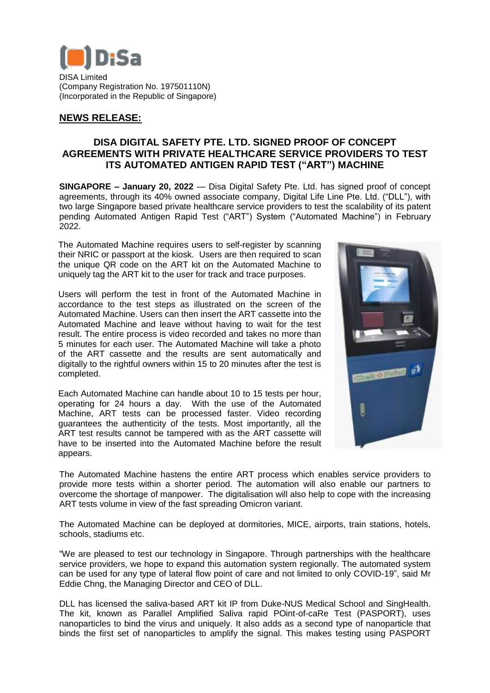

DISA Limited (Company Registration No. 197501110N) (Incorporated in the Republic of Singapore)

# **NEWS RELEASE:**

## **DISA DIGITAL SAFETY PTE. LTD. SIGNED PROOF OF CONCEPT AGREEMENTS WITH PRIVATE HEALTHCARE SERVICE PROVIDERS TO TEST ITS AUTOMATED ANTIGEN RAPID TEST ("ART") MACHINE**

**SINGAPORE – January 20, 2022** — Disa Digital Safety Pte. Ltd. has signed proof of concept agreements, through its 40% owned associate company, Digital Life Line Pte. Ltd. ("DLL"), with two large Singapore based private healthcare service providers to test the scalability of its patent pending Automated Antigen Rapid Test ("ART") System ("Automated Machine") in February 2022.

The Automated Machine requires users to self-register by scanning their NRIC or passport at the kiosk. Users are then required to scan the unique QR code on the ART kit on the Automated Machine to uniquely tag the ART kit to the user for track and trace purposes.

Users will perform the test in front of the Automated Machine in accordance to the test steps as illustrated on the screen of the Automated Machine. Users can then insert the ART cassette into the Automated Machine and leave without having to wait for the test result. The entire process is video recorded and takes no more than 5 minutes for each user. The Automated Machine will take a photo of the ART cassette and the results are sent automatically and digitally to the rightful owners within 15 to 20 minutes after the test is completed.

Each Automated Machine can handle about 10 to 15 tests per hour, operating for 24 hours a day. With the use of the Automated Machine, ART tests can be processed faster. Video recording guarantees the authenticity of the tests. Most importantly, all the ART test results cannot be tampered with as the ART cassette will have to be inserted into the Automated Machine before the result appears.



The Automated Machine hastens the entire ART process which enables service providers to provide more tests within a shorter period. The automation will also enable our partners to overcome the shortage of manpower. The digitalisation will also help to cope with the increasing ART tests volume in view of the fast spreading Omicron variant.

The Automated Machine can be deployed at dormitories, MICE, airports, train stations, hotels, schools, stadiums etc.

"We are pleased to test our technology in Singapore. Through partnerships with the healthcare service providers, we hope to expand this automation system regionally. The automated system can be used for any type of lateral flow point of care and not limited to only COVID-19", said Mr Eddie Chng, the Managing Director and CEO of DLL.

DLL has licensed the saliva-based ART kit IP from Duke-NUS Medical School and SingHealth. The kit, known as Parallel Amplified Saliva rapid POint-of-caRe Test (PASPORT), uses nanoparticles to bind the virus and uniquely. It also adds as a second type of nanoparticle that binds the first set of nanoparticles to amplify the signal. This makes testing using PASPORT